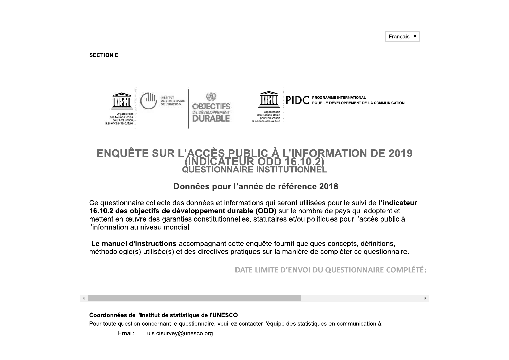**SECTION E** 



# ENQUÊTE SUR L'ACCÈS PUBLIC À L'INFORMATION DE 2019

#### Données pour l'année de référence 2018

Ce questionnaire collecte des données et informations qui seront utilisées pour le suivi de l'indicateur 16.10.2 des objectifs de développement durable (ODD) sur le nombre de pays qui adoptent et mettent en œuvre des garanties constitutionnelles, statutaires et/ou politiques pour l'accès public à l'information au niveau mondial.

Le manuel d'instructions accompagnant cette enquête fournit quelques concepts, définitions, méthodologie(s) utilisée(s) et des directives pratiques sur la manière de compléter ce questionnaire.

DATE LIMITE D'ENVOI DU QUESTIONNAIRE COMPLÉTÉ:

 $\mathbf{b}$ 

#### Coordonnées de l'Institut de statistique de l'UNESCO Pour toute question concernant le questionnaire, veuillez contacter l'équipe des statistiques en communication à:

Fmail: uis.cisurvey@unesco.org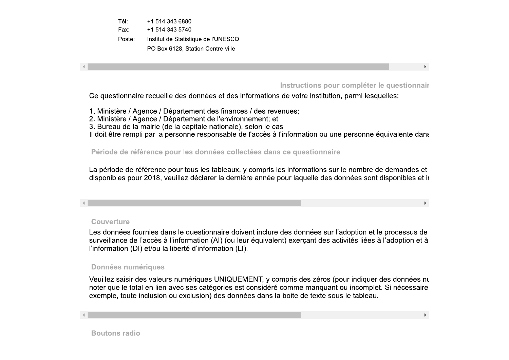Tél: +1 514 343 6880 Fax: +1 514 343 5740 Poste: Institut de Statistique de l'UNESCO PO Box 6128, Station Centre-ville

Instructions pour compléter le questionnair

 $\blacktriangleright$ 

 $\blacktriangleright$ 

Ce questionnaire recueille des données et des informations de votre institution, parmi lesquelles:

1. Ministère / Agence / Département des finances / des revenues;

2. Ministère / Agence / Département de l'environnement; et

3. Bureau de la mairie (de la capitale nationale), selon le cas

Il doit être rempli par la personne responsable de l'accès à l'information ou une personne équivalente dans

Période de référence pour les données collectées dans ce questionnaire

La période de référence pour tous les tableaux, y compris les informations sur le nombre de demandes et disponibles pour 2018, veuillez déclarer la dernière année pour laquelle des données sont disponibles et in

#### Couverture

Les données fournies dans le questionnaire doivent inclure des données sur l'adoption et le processus de surveillance de l'accès à l'information (AI) (ou leur équivalent) exerçant des activités liées à l'adoption et à l'information (DI) et/ou la liberté d'information (LI).

#### **Données numériques**

Veuillez saisir des valeurs numériques UNIQUEMENT, y compris des zéros (pour indiquer des données nu noter que le total en lien avec ses catégories est considéré comme manquant ou incomplet. Si nécessaire exemple, toute inclusion ou exclusion) des données dans la boite de texte sous le tableau.

**Boutons radio**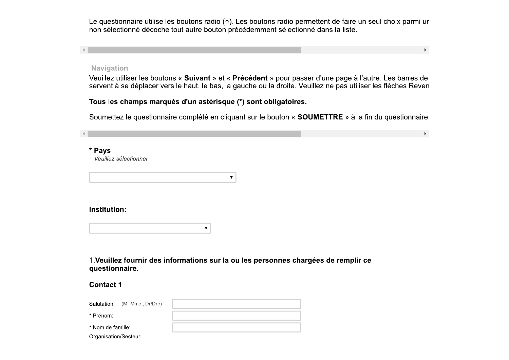Le questionnaire utilise le<br>non sélectionné décoche<br>Mavigation<br>Veuillez utiliser les boutonne<br>servent à se déplacer ver Le questionnaire utilise les boutons rad<br>non sélectionné décoche tout autre bou<br><br>Navigation<br>Veuillez utiliser les boutons « **Suivant** »<br>servent à se déplacer vers le haut, le ba Le questionnaire utilise les boutons radio (○).<br>
non sélectionné décoche tout autre bouton pre<br>
<br>
<br>
Navigation<br>
Veuillez utiliser les boutons « Suivant » et « F<br>
servent à se déplacer vers le haut, le bas, la g uestionnaire utilise les boutons radio (○). Les boutons<br>sélectionné décoche tout autre bouton précédemmen<br>igation<br>llez utiliser les boutons « **Suivant** » et « **Précédent** »<br>ent à se déplacer vers le haut, le bas, la gauche aire utilise les boutons radio (○). Les boutons radio<br>né décoche tout autre bouton précédemment séle<br>er les boutons « **Suivant** » et « **Précédent** » pour<br>déplacer vers le haut, le bas, la gauche ou la droite tilise les boutons radio (○). Les boutons radio permettent de fa<br>.<br>coche tout autre bouton précédemment sélectionné dans la lis<br>.<br>boutons « **Suivant** » et « **Précédent** » pour passer d'une pag<br>.<br>cer vers le haut, le bas, l radio (○). Les boutons radio permettent de faire un<br>bouton précédemment sélectionné dans la liste.<br>nt » et « **Précédent** » pour passer d'une page à l'a<br>e bas, la gauche ou la droite. Veuillez ne pas utilise (○). Les boutons radio permettent de faire un seul choix<br>n précédemment sélectionné dans la liste.<br>t « **Précédent** » pour passer d'une page à l'autre. Les ba<br>la gauche ou la droite. Veuillez ne pas utiliser les flèche utons radio permettent de faire un seul choix parmi ur<br>iment sélectionné dans la liste.<br>**Int** » pour passer d'une page à l'autre. Les barres de<br>ou la droite. Veuillez ne pas utiliser les flèches Reven dio permettent de faire un seul choix parmi ur<br>lectionné dans la liste.<br><br><br>In passer d'une page à l'autre. Les barres de<br>vite. Veuillez ne pas utiliser les flèches Reven de faire un seul choix parmi ur<br>s la liste.<br>e page à l'autre. Les barres de<br>e pas utiliser les flèches Reven re un seul choix parmi ur<br>te.<br>e à l'autre. Les barres de<br>utiliser les flèches Reven Le questionnaire utilise les<br>non sélectionné décoche t<br>Navigation<br>Veuillez utiliser les boutons<br>servent à se déplacer vers<br>Tous les champs marqué Le questionnaire utilise les boutons ration<br>
non sélectionné décoche tout autre boutons<br>
<br>
<br>
Navigation<br>
<br>
Veuillez utiliser les boutons « Suivant<br>
servent à se déplacer vers le haut, le b<br>
<br>
Tous les champs marqués d'un a Le questionnaire utilise les boutons radio (○). Le<br>non sélectionné décoche tout autre bouton préc<br><br><br><br><br><br>Navigation<br>Veuillez utiliser les boutons « Suivant » et « Pre<br>servent à se déplacer vers le haut, le bas, la gai<br>Tous l questionnaire utilise les boutons radio (○). Les boutons<br>n sélectionné décoche tout autre bouton précédemmen<br>notigation<br>nullez utiliser les boutons « **Suivant** » et « **Précédent** »<br>vent à se déplacer vers le haut, le bas, aire utilise les boutons radio (○). Les boutons radio p<br>né décoche tout autre bouton précédemment sélecti<br>er les boutons « **Suivant** » et « **Précédent** » pour pa<br>déplacer vers le haut, le bas, la gauche ou la droite.<br>imps se les boutons radio (○). Les boutons radio permettent de fai<br>oche tout autre bouton précédemment sélectionné dans la lis<br>outons « **Suivant** » et « **Précédent** » pour passer d'une page<br>r vers le haut, le bas, la gauche ou adio (○). Les boutons radio permettent de faire un seul couton précédemment sélectionné dans la liste.<br>
a liste.<br>
a liste de l'autre de l'autre de l'autre. Le bas, la gauche ou la droite. Veuillez ne pas utiliser les fl<br> s boutons radio permettent de faire un seul choix parmi un<br>demment sélectionné dans la liste.<br>Cédent » pour passer d'une page à l'autre. Les barres de<br>che ou la droite. Veuillez ne pas utiliser les flèches Rever<br>sont oblig Le questionnaire utilise<br>
non sélectionné décoc<br>
<br>
Navigation<br>
Veuillez utiliser les bou<br>
servent à se déplacer<br>
Tous les champs mar<br>
Soumettez le question Le questionnaire utilise les boutonnon sélectionné décoche tout aut<br>
Navigation<br>
Veuillez utiliser les boutons « **Sui**<br>
servent à se déplacer vers le hau<br> **Tous les champs marqués d'un**<br>
Soumettez le questionnaire comp ons radio permettent de faire un seul choix parmi un sent sélectionné dans la liste.<br>The sense d'une page à l'autre. Les barres du la droite. Veuillez ne pas utiliser les flèches Revent de la droite.<br>De policy de la droite adio permettent de faire un seul choix parmi ur<br>électionné dans la liste.<br>Dur passer d'une page à l'autre. Les barres de<br>poite. Veuillez ne pas utiliser les flèches Reven<br>**atoires.**<br>On « **SOUMETTRE** » à la fin du questionn ettent de faire un seul choix parmi ur<br>
é dans la liste.<br>
→<br>
Tr d'une page à l'autre. Les barres de<br>
illez ne pas utiliser les flèches Reven<br>
<br> **DIMETTRE** » à la fin du questionnaire. ire un seul choix parmi ur<br>ste.<br>e à l'autre. Les barres de<br>utiliser les flèches Reven<br>> à la fin du questionnaire.

Servent à se déplacer v<br>
Tous les champs mare<br>
Soumettez le questionn<br>
\* Pays<br>
Veuillez sélectionner<br>
Institution: Servent à se déplacer vers le<br>
Tous les champs marqués<br>
Soumettez le questionnaire<br>
\* Pays<br>
Veuillez sélectionner<br>
Nuttution: Fous les champs<br>
Soumettez le ques<br>
\* Pays<br>
Veuillez sélectionner<br>
Institution: Fous les Champs mar<br>
Soumettez le questionne<br>
\* Pays<br>
Veuillez sélectionner<br>
Institution: Fous les champs marque<br>
Soumettez le questionnair<br>
\* Pays<br>
Veuillez sélectionner<br>
Institution: Fous les champs marques d'unes de la Soumettez le questionnaire contraite de la marques de la marques de la marques de la marques de la marques de la marques de la marques de la marques de la marques de la marques de la ma Fous les champs marques d'un as<br>Soumettez le questionnaire complét \* Pays<br>
Veuillez sélectionner<br>
Institution:<br>
1. Veuillez fournir des informations<br>
1. Veuillez fournir des informations<br>
Contact 4 Institution:<br>
1. Veuillez fournir des informations<br>
questionnaire.<br>
Contact 1<br>
Salutation: (M, Mme., Dr/Dre)<br>
\* Prénom:<br>
\* Nom de famille: Institution:<br>
(1. Veuillez fournir des informations sur<br>
questionnaire.<br>
Contact 1<br>
Salutation: (M, Mme., Dr/Dre)<br>
\* Prénom:<br>
\* Nom de famille: Institution:<br>
<br>
1. Veuillez fournir des informations sur la ou les personnelles<br>
questionnaire.<br>
Contact 1<br>
Salutation: (M, Mme, Dr/Dre)<br>
\* Prénom:<br>
\* Nom de famille: vales informations sur la ou les personnes chargées de remplir $\mathbf{r}$ .  $\blacksquare$ <br>' la ou les personnes chargées de remplir ce # "\$%"chargées de remplir ce Institution:<br>
1. Veuillez fournir des informations<br>
questionnaire.<br>
Contact 1<br>
Salutation: (M, Mme., Dr/Dre)<br>
\* Prénom:<br>
\* Nom de famille:<br>
Organisation/Secteur: Le questionnaire utilise les bournon sélectionné décoche tout aux<br>
Navigation<br>
Veuillez utiliser les boutons « S<br>
servent à se déplacer vers le h<br>
Tous les champs marqués d<br>
Soumettez le questionnaire co<br>
\* Pavs Le questionnaire utilise les boutons random sélectionné décoche tout autre boutons et autre de Navigation<br>
Veuillez utiliser les boutons « **Suivant**<br>
servent à se déplacer vers le haut, le<br> **Tous les champs marqués d'un as** Le questionnaire utilise les boutons radio (o). Les<br>non sélectionné décoche tout autre bouton précédent<br>outre décoche tout autre bouton précédent<br>outillez utiliser les boutons « **Suivant** » et « **Préc**<br>servent à se déplace destionnaire utilise les boutons radio (○). Les boutons raélectionné décoche tout autre bouton précédemment se<br>destitement décoche tout autre bouton précédemment se<br>gation<br>lez utiliser les boutons « **Suivant** » et « **Précé** e utilise les boutons radio (○). Les boutons radio permettent de<br>décoche tout autre bouton précédemment sélectionné dans la<br>les boutons « **Suivant** » et « **Précédent** » pour passer d'une p<br>placer vers le haut, le bas, la g ns radio (○). Les boutons radio permettent de faire un seul c<br>re bouton précédemment sélectionné dans la liste.<br><br>**Vant** » et « **Précédent** » pour passer d'une page à l'autre. L<br>t, le bas, la gauche ou la droite. Veuillez n s boutons radio permettent de faire un seul choix pédemment sélectionné dans la liste.<br>
Sédemment sélectionné dans la liste.<br>
Cédent » pour passer d'une page à l'autre. Les banche ou la droite. Veuillez ne pas utiliser les Le questionnaire utilise les boomon sélectionné décoche tout Le questionnaire utilise les boutons radio (o)<br>non sélectionné décoche tout autre bouton p<br>Navigation<br>Veuillez utiliser les boutons « **Suivant** » et «<br>servent à se déplacer vers le haut, le bas, la<br>**Tous les champs marqués** Le questionnaire utilise les boutons radio ( $\circ$ ). Les boutons<br>non sélectionné décoche tout autre bouton précédemmer<br>Navigation<br>Veuillez utiliser les boutons « **Suivant** » et « **Précédent** »<br>servent à se déplacer vers le naire utilise les boutons radio (○). Les boutons radio permettent<br>nné décoche tout autre bouton précédemment sélectionné dan<br>ser les boutons « **Suivant** » et « **Précédent** » pour passer d'un<br>déplacer vers le haut, le bas, utons radio (○). Les boutons radio permettent de faire un setter bouton précédemment sélectionné dans la liste.<br>Suivant » et « **Précédent** » pour passer d'une page à l'at<br>aut, le bas, la gauche ou la droite. Veuillez ne pa ○). Les boutons radio permettent de faire un seul choi<br>précédemment sélectionné dans la liste.<br>« **Précédent** » pour passer d'une page à l'autre. Les<br>la gauche ou la droite. Veuillez ne pas utiliser les flècl<br>**ue (\*) sont** outons radio permettent de faire un seul choix parmi ur<br>
emment sélectionné dans la liste.<br>
dent » pour passer d'une page à l'autre. Les barres de<br>
e ou la droite. Veuillez ne pas utiliser les flèches Reven<br>
ont obligatoir ermettent de faire un seul choix parmi ur<br>bonné dans la liste.<br>Sser d'une page à l'autre. Les barres de<br>Veuillez ne pas utiliser les flèches Reven<br>ss.<br>SOUMETTRE » à la fin du questionnaire.<br> S P6 Mavigation<br>
Veuillez utiliser les boutons<br>
servent à se déplacer vers le<br>
Tous les champs marqués<br>
Soumettez le questionnaire<br>
\* Pays<br>
Veuillez sélectionner Mavigation<br>
Veuillez utiliser les boutons « **Suivant** » (<br>
servent à se déplacer vers le haut, le bas<br> **Tous les champs marqués d'un astéris<br>
Soumettez le questionnaire complété en<br>
\* Pays<br>
Veuillez sélectionner** Navigation<br>
Veuillez utiliser les boutons « **Suivant** » et « **Précé**<br>
servent à se déplacer vers le haut, le bas, la gauch<br> **Tous les champs marqués d'un astérisque (\*) se<br>
Soumettez le questionnaire complété en cliquant s** determe account datable solar procedumment selection<br>and the control of the boutons of **Suivant**  $\alpha$  et  $\alpha$  **Précédent**  $\alpha$  pour pass<br>it à se déplacer vers le haut, le bas, la gauche ou la droite. Ve<br>les champs marqués ons « Suivant » et « Précédent » pour passer d'une page à l'autrers le haut, le bas, la gauche ou la droite. Veuillez ne pas utiliser le pués d'un astérisque (\*) sont obligatoires.<br>aire complété en cliquant sur le bouton « Mavigation<br>
Veuillez utiliser les boutons « Suivervent à se déplacer vers le hau<br>
Tous les champs marqués d'un<br>
Soumettez le questionnaire comp<br>
\* Pays<br>
Veuillez sélectionner Mavigation<br>
Veuillez utiliser les boutons « **Suivant** » et « **Préc**e<br>
servent à se déplacer vers le haut, le bas, la gauc<br> **Tous les champs marqués d'un astérisque (\*) s**<br>
Soumettez le questionnaire complété en cliquant s<br> **gation**<br>ez utiliser les boutons « **Suivant** » et « **Précédent** » pont à se déplacer vers le haut, le bas, la gauche ou la d<br>**les champs marqués d'un astérisque (\*) sont oblig**<br>nettez le questionnaire complété en cliquant les boutons « Suivant » et « Précédent » pour passer quate vers le haut, le bas, la gauche ou la droite. Veuille<br>ps marqués d'un astérisque (\*) sont obligatoires.<br>uestionnaire complété en cliquant sur le bouton « SOUM<br>nner 92098 versions versions versions versions versions versions versions versions versions versions versions versions versions versions versions versions versions versions versions versions versions versions versions versions et « **Précédent** » pour passer d'une page à l'autre. Les barres<br>s, la gauche ou la droite. Veuillez ne pas utiliser les flèches Ré<br>sque (\*) sont obligatoires.<br>cliquant sur le bouton « SOUMETTRE » à la fin du questionn A pour passer d'une page à l'autre. Les barres de<br>droite. Veuillez ne pas utiliser les flèches Reven<br>ligatoires.<br>wuton « SOUMETTRE » à la fin du questionnaire. <sup>4</sup><br> **Pays**<br> *Veuillez sélectionnel*<br> **Institution:** Institution:<br>
<br>
1.Veuillez fournir<br>
questionnaire.<br>
Centert 1.

| $\blacktriangledown$                                                                        |
|---------------------------------------------------------------------------------------------|
| 1. Veuillez fournir des informations sur la ou les personnes cha<br>questionnaire.          |
| <b>Contact 1</b>                                                                            |
| Salutation:<br>(M, Mme., Dr/Dre)<br>* Prénom:<br>* Nom de famille:<br>Organisation/Secteur: |
|                                                                                             |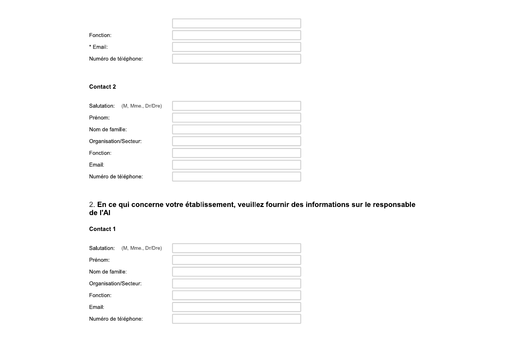| Fonction:            |  |
|----------------------|--|
| * Email:             |  |
| Numéro de téléphone: |  |

#### **Contact 2**

| Salutation:<br>(M, Mme., Dr/Dre) |  |
|----------------------------------|--|
| Prénom:                          |  |
| Nom de famille:                  |  |
| Organisation/Secteur:            |  |
| Fonction:                        |  |
| Email:                           |  |
| Numéro de téléphone:             |  |

## 2. En ce qui concerne votre établissement, veuillez fournir des informations sur le responsable<br>de l'Al

**Contact 1** 

| Salutation:<br>(M, Mme., Dr/Dre) |  |
|----------------------------------|--|
| Prénom:                          |  |
| Nom de famille:                  |  |
| Organisation/Secteur:            |  |
| Fonction:                        |  |
| Email:                           |  |
| Numéro de téléphone:             |  |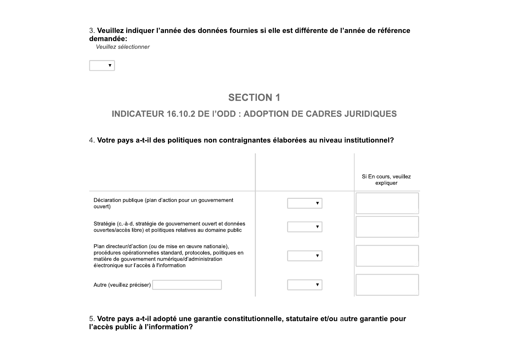3. Veuillez indiquer l'année des données fournies si elle est différente de l'année de référence demandée:

Veuillez sélectionner

 $\blacktriangledown$ 

## **SECTION 1**

#### **INDICATEUR 16.10.2 DE l'ODD : ADOPTION DE CADRES JURIDIQUES**

#### 4. Votre pays a-t-il des politiques non contraignantes élaborées au niveau institutionnel?

|                                                                                                                                                                                                                              | Si En cours, veuillez<br>expliquer |
|------------------------------------------------------------------------------------------------------------------------------------------------------------------------------------------------------------------------------|------------------------------------|
| Déclaration publique (plan d'action pour un gouvernement<br>ouvert)                                                                                                                                                          |                                    |
| Stratégie (c.-à-d. stratégie de gouvernement ouvert et données<br>ouvertes/accès libre) et politiques relatives au domaine public                                                                                            |                                    |
| Plan directeur/d'action (ou de mise en œuvre nationale),<br>procédures opérationnelles standard, protocoles, politiques en<br>matière de gouvernement numérique/d'administration<br>électronique sur l'accès à l'information |                                    |
| Autre (veuillez préciser)                                                                                                                                                                                                    |                                    |

5. Votre pays a-t-il adopté une garantie constitutionnelle, statutaire et/ou autre garantie pour l'accès public à l'information?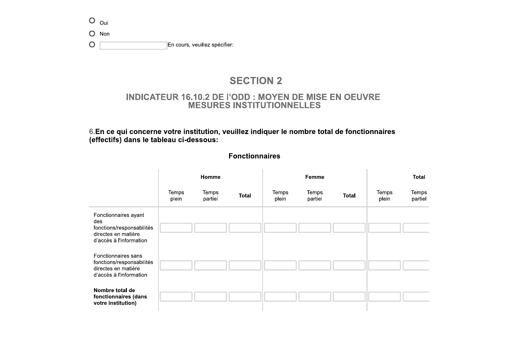|         | $O_{\text{oui}}$ |                               |
|---------|------------------|-------------------------------|
|         | $O$ Non          |                               |
| $\circ$ |                  | En cours, veuillez spécifier: |

#### **SECTION 2**

#### **INDICATEUR 16.10.2 DE l'ODD : MOYEN DE MISE EN OEUVRE MESURES INSTITUTIONNELLES**

6.En ce qui concerne votre institution, veuillez indiquer le nombre total de fonctionnaires (effectifs) dans le tableau ci-dessous:

|                                                                                                            | Homme          |                  | Femme        |                |                  | <b>Total</b> |                |                  |
|------------------------------------------------------------------------------------------------------------|----------------|------------------|--------------|----------------|------------------|--------------|----------------|------------------|
|                                                                                                            | Temps<br>plein | Temps<br>partiel | <b>Total</b> | Temps<br>plein | Temps<br>partiel | Total        | Temps<br>plein | Temps<br>partiel |
| Fonctionnaires ayant<br>des<br>fonctions/responsabilités<br>directes en matière<br>d'accès à l'information |                |                  |              |                |                  |              |                |                  |
| Fonctionnaires sans<br>fonctions/responsabilités<br>directes en matière<br>d'accès à l'information         |                |                  |              |                |                  |              |                |                  |
| Nombre total de<br>fonctionnaires (dans<br>votre institution)                                              |                |                  |              |                |                  |              |                |                  |

#### **Fonctionnaires**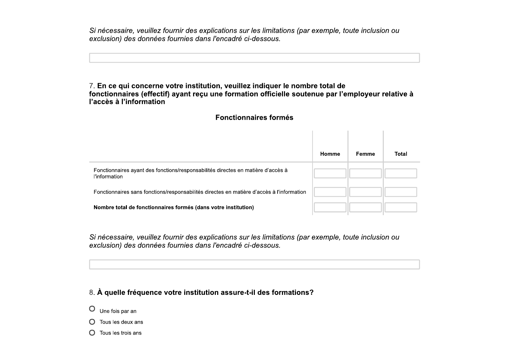Si nécessaire, veuillez fournir des explications sur les limitations (par exemple, toute inclusion ou exclusion) des données fournies dans l'encadré ci-dessous.

#### 7. En ce qui concerne votre institution, veuillez indiquer le nombre total de fonctionnaires (effectif) ayant reçu une formation officielle soutenue par l'employeur relative à l'accès à l'information

#### **Fonctionnaires formés**

and the control of the con-

|                                                                                                          | Homme | Femme | <b>Total</b> |
|----------------------------------------------------------------------------------------------------------|-------|-------|--------------|
| Fonctionnaires ayant des fonctions/responsabilités directes en matière d'accès à<br><b>l'information</b> |       |       |              |
| Fonctionnaires sans fonctions/responsabilités directes en matière d'accès à l'information                |       |       |              |
| Nombre total de fonctionnaires formés (dans votre institution)                                           |       |       |              |

Si nécessaire, veuillez fournir des explications sur les limitations (par exemple, toute inclusion ou exclusion) des données fournies dans l'encadré ci-dessous.

#### 8. À quelle fréquence votre institution assure-t-il des formations?

- $O$  Une fois par an
- $\bigcap$  Tous les deux ans
- $\bigcap$  Tous les trois ans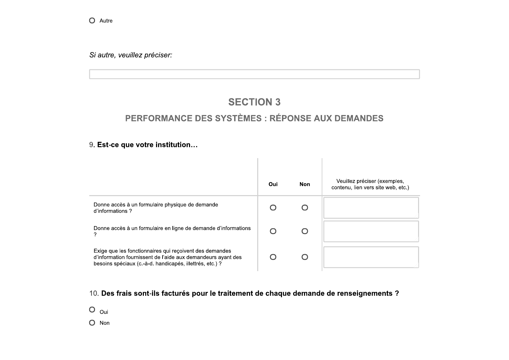O Autre

Si autre, veuillez préciser:

#### **SECTION 3**

#### PERFORMANCE DES SYSTÈMES : RÉPONSE AUX DEMANDES

#### 9. Est-ce que votre institution...

|                                                                                                                                                                                     | Oui | <b>Non</b> | Veuillez préciser (exemples,<br>contenu, lien vers site web, etc.) |
|-------------------------------------------------------------------------------------------------------------------------------------------------------------------------------------|-----|------------|--------------------------------------------------------------------|
| Donne accès à un formulaire physique de demande<br>d'informations?                                                                                                                  |     |            |                                                                    |
| Donne accès à un formulaire en ligne de demande d'informations                                                                                                                      |     |            |                                                                    |
| Exige que les fonctionnaires qui reçoivent des demandes<br>d'information fournissent de l'aide aux demandeurs ayant des<br>besoins spéciaux (c.-à-d. handicapés, illettrés, etc.) ? |     |            |                                                                    |

10. Des frais sont-ils facturés pour le traitement de chaque demande de renseignements ?

 $O_{\text{oui}}$ 

 $O$  Non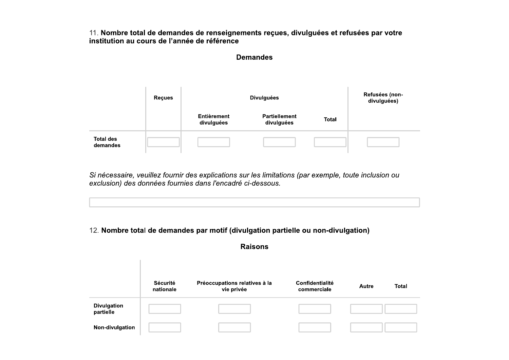11. Nombre total de demandes de renseignements reçues, divulguées et refusées par votre institution au cours de l'année de référence

#### **Demandes**

|                              | <b>Reçues</b> | <b>Divulguées</b>                |                                    |              | Refusées (non-<br>divulguées) |
|------------------------------|---------------|----------------------------------|------------------------------------|--------------|-------------------------------|
|                              |               | <b>Entièrement</b><br>divulguées | <b>Partiellement</b><br>divulguées | <b>Total</b> |                               |
| <b>Total des</b><br>demandes |               |                                  |                                    |              |                               |

Si nécessaire, veuillez fournir des explications sur les limitations (par exemple, toute inclusion ou exclusion) des données fournies dans l'encadré ci-dessous.

#### 12. Nombre total de demandes par motif (divulgation partielle ou non-divulgation)

 $\sim$ 

**Raisons** 

|                                 | Sécurité<br>nationale | Préoccupations relatives à la<br>vie privée | <b>Confidentialité</b><br>commerciale | Autre | <b>Total</b> |
|---------------------------------|-----------------------|---------------------------------------------|---------------------------------------|-------|--------------|
| <b>Divulgation</b><br>partielle |                       |                                             |                                       |       |              |
| Non-divulgation                 |                       |                                             |                                       |       |              |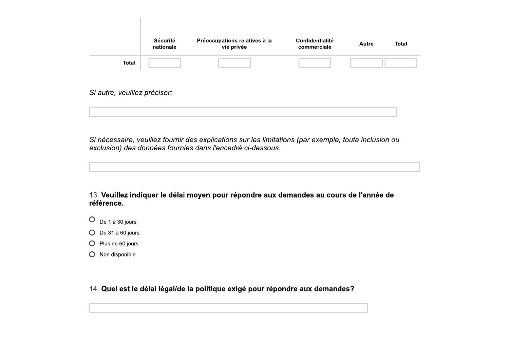|                              | Sécurité<br>nationale | Préoccupations relatives à la<br>vie privée | Confidentialité<br>commerciale | <b>Autre</b> | <b>Total</b> |
|------------------------------|-----------------------|---------------------------------------------|--------------------------------|--------------|--------------|
| <b>Total</b>                 |                       |                                             |                                |              |              |
| Si autre, veuillez préciser: |                       |                                             |                                |              |              |

Si nécessaire, veuillez fournir des explications sur les limitations (par exemple, toute inclusion ou exclusion) des données fournies dans l'encadré ci-dessous.

13. Veuillez indiquer le délai moyen pour répondre aux demandes au cours de l'année de référence.

- $O$  De 1 à 30 jours
- $O$  De 31 à 60 jours
- $O$  Plus de 60 jours
- O Non disponible

14. Quel est le délai légal/de la politique exigé pour répondre aux demandes?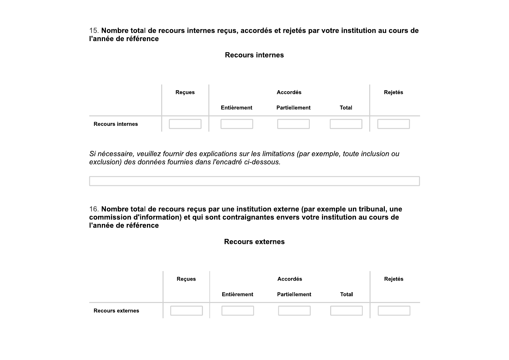15. Nombre total de recours internes reçus, accordés et rejetés par votre institution au cours de l'année de référence

#### **Recours internes**

|                         | <b>Reçues</b> |             | Rejetés              |              |  |
|-------------------------|---------------|-------------|----------------------|--------------|--|
|                         |               | Entièrement | <b>Partiellement</b> | <b>Total</b> |  |
| <b>Recours internes</b> |               |             |                      |              |  |

Si nécessaire, veuillez fournir des explications sur les limitations (par exemple, toute inclusion ou exclusion) des données fournies dans l'encadré ci-dessous.

16. Nombre total de recours reçus par une institution externe (par exemple un tribunal, une commission d'information) et qui sont contraignantes envers votre institution au cours de l'année de référence

#### **Recours externes**

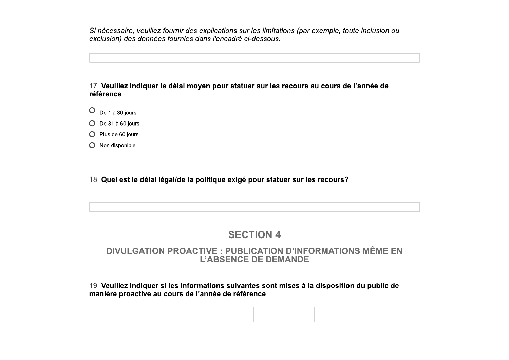sur les limitations (par exemple, toute inclusion ou $\acute{\text{e}}$  ci-dessous.<br>Attuer sur les recours au cours de l'année de cexemple, toute inclusion ou control de l'année de l'année de l'année de l'année de l'année de l'année de l'année de l'année de l'année de l'année de l'année de l'année de l'année de l'année de l'année de l'année de l'anné

#### Si nécessaire, veuillez fa<br>exclusion) des données<br>17. **Veuillez indiquer le<br>référence** Si nécessaire, veuillez fournir des<br>exclusion) des données fournies d<br>17. **Veuillez indiquer le délai mo<br>référence** Si nécessaire, veuillez fournir des<br>exclusion) des données fournies a<br>17. **Veuillez indiquer le délai mo**préférence Si nécessaire, veuillez fournir des explica<br>exclusion) des données fournies dans l'el<br>-<br>17. **Veuillez indiquer le délai moyen po**<br>**référence** Si nécessaire, veuillez fournir des explications su<br>exclusion) des données fournies dans l'encadré<br>(17. Veuillez indiquer le délai moyen pour statu<br>référence écessaire, veuillez fournir des explications sur les données fournies dans l'encadré ci-<br>usion) des données fournies dans l'encadré ci-<br>Veuillez indiquer le délai moyen pour statue<br>rence essaire, veuillez fournir des explications sur les limitation)<br>des données fournies dans l'encadré ci-dessous.<br>uillez indiquer le délai moyen pour statuer sur les r<br>nce euillez fournir des explications sur les limitations (par ex<br>onnées fournies dans l'encadré ci-dessous.<br>i<mark>quer le délai moyen pour statuer sur les recours au</mark> ir des explications sur les limitations (par exemple<br>rnies dans l'encadré ci-dessous.<br>ai <mark>moyen pour statuer sur les recours au cour</mark> s explications sur les limitations (par exemple, l $d$ ans l'encadré ci-dessous.<br>Originales<br>oven pour statuer sur les recours au cours explications sur les limitations (par exemple, toute inclus<br>ans l'encadré ci-dessous.<br>ven pour statuer sur les recours au cours de l'année Si nécessaire, veuillez fourninnexclusion) des données fourners<br>Alle de données fourners<br>17. **Veuillez indiquer le déla<br>référence<br>Ontre de de la 30 jours** Si nécessaire, veuillez fournir des explications sur<br>exclusion) des données fournies dans l'encadré ci<br>17. **Veuillez indiquer le délai moyen pour statue<br>référence** cessaire, veuillez fournir des explications sur le<br>sion) des données fournies dans l'encadré ci-d $\bullet$ <br>euillez indiquer le délai moyen pour statuer<br>ence ssaire, veuillez fournir des explications sur les limitations (pai<br>) des données fournies dans l'encadré ci-dessous.<br>|<br>|illez indiquer le délai moyen pour statuer sur les recours<br>|<br>ce ournir des explications sur les limitations (par exectionnies dans l'encadré ci-dessous.<br>Actionnies dans l'encadré ci-dessous.<br>Action de la moyen pour statuer sur les recours au délai moyen pour statuer sur les recours au nir des explications sur les limitations (par exemple, tournies dans l'encadré ci-dessous.<br>Iai moyen pour statuer sur les recours au cours de Si nécessaire, veuillez fournir des explications sur les limitations (par exemple, toute inclusion ou<br>exclusion) des données fournies dans l'encadré ci-dessous.<br><br>17. **Veuillez indiquer le délai moyen pour statuer sur les r** Si nécessaire, veuillez fournir<br>exclusion) des données fourni<br>17. **Veuillez indiquer le délai<br>référence<br>O** De 1 à 30 jours<br>O Pe 31 à 60 jours<br>O Plus de 60 jours<br>O Non disponible 17. Veuillez indiquer le délai les<br>référence<br>O  $Be 1\text{ à } 30 \text{ jours}$ <br>O Plus de 60 jours<br>O Plus de 60 jours<br>O Non disponible 17. **Veuillez indiquer le délai m<br>référence<br>O**  $Be 1$  **à 30 jours<br>O**  $Be 31$  **à 60 jours<br>O Plus de 60 jours<br>O Non disponible<br>O Non disponible** 17. Veuillez indiquer le délai n<br>
référence<br>  $O$  De 1 à 30 jours<br>  $O$  De 31 à 60 jours<br>  $O$  Plus de 60 jours<br>  $O$  Non disponible<br>  $18.$  Quel est le délai légal/de la

- 
- 
- 
- 
- O Non disponible<br>18. Quel est le d Fremce<br>
O De 1 à 30 jours<br>
O De 31 à 60 jours<br>
O Plus de 60 jours<br>
O Non disponible<br>
18. Quel est le délai légal/de

# U De 1 à 30 jours<br>
O Plus de 60 jours<br>
O Plus de 60 jours<br>
O Non disponible<br>
18. Quel est le délai légal/de la politique exigé pour statuer sur les recours?<br>
SECTION 4<br>
DIVULGATION PROACTIVE : PUBLICATION D'INFORMATIONS MÊ ble<br>
Le délai légal/de la politique exigé pour statuer sur les recours?<br>
SECTION 4<br>
LGATION PROACTIVE : PUBLICATION D'INFORMATIONS MÊ<br>
L'ABSENCE DE DEMANDE<br>
indiquer si les informations suivantes sont mises à la dispositio 18. Quel est le délai légal/de la politique exigé pour statuer sur les recours?<br>SECTION 4<br>DIVULGATION PROACTIVE : PUBLICATION D'INFORMATIONS MÊME EN<br>L'ABSENCE DE DEMANDE<br>19. Veuillez indíquer si les informations suivantes est le délai légal/de la politique exigé pour statuer sur les recours?<br>
SECTION 4<br>
DVULGATION PROACTIVE : PUBLICATION D'INFORMATIONS MÊME<br>
L'ABSENCE DE DEMANDE<br>
Illez indiquer si les informations suivantes sont mises à la SECTION 4<br>
DIVULGATION PROACTIVE : PUBLICATION D'INFORMATIONS MÊME EN<br>
L'ABSENCE DE DEMANDE<br>
19 Veuillez indiquer si les informations suivantes sont mises à la disposition du public de<br>
manière proactive au cours de l'anné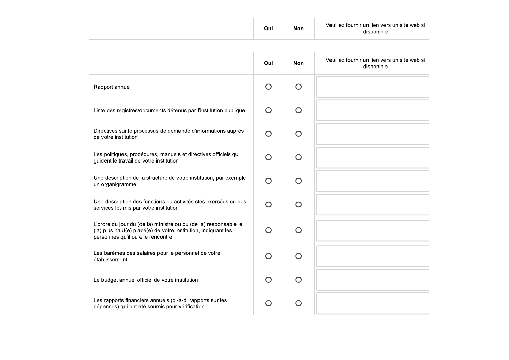|                                                                                                                                                                         | Oui       | <b>Non</b> | Veuillez fournir un lien vers un site web si<br>disponible |
|-------------------------------------------------------------------------------------------------------------------------------------------------------------------------|-----------|------------|------------------------------------------------------------|
|                                                                                                                                                                         | Oui       | <b>Non</b> | Veuillez fournir un lien vers un site web si               |
|                                                                                                                                                                         |           |            | disponible                                                 |
| Rapport annuel                                                                                                                                                          | $\bigcap$ | ∩          |                                                            |
| Liste des registres/documents détenus par l'institution publique                                                                                                        | $\bigcap$ | $\bigcap$  |                                                            |
| Directives sur le processus de demande d'informations auprès<br>de votre institution                                                                                    | ∩         | ∩          |                                                            |
| Les politiques, procédures, manuels et directives officiels qui<br>guident le travail de votre institution                                                              | $\bigcap$ | $\bigcap$  |                                                            |
| Une description de la structure de votre institution, par exemple<br>un organigramme                                                                                    | $\bigcap$ | O          |                                                            |
| Une description des fonctions ou activités clés exercées ou des<br>services fournis par votre institution                                                               | $\bigcap$ | ∩          |                                                            |
| L'ordre du jour du (de la) ministre ou du (de la) responsable le<br>(la) plus haut(e) placé(e) de votre institution, indiquant les<br>personnes qu'il ou elle rencontre | $\bigcap$ | $\bigcap$  |                                                            |
| Les barèmes des salaires pour le personnel de votre<br>établissement                                                                                                    | $\cap$    | ◯          |                                                            |
| Le budget annuel officiel de votre institution                                                                                                                          | $\cap$    | ∩          |                                                            |
| Les rapports financiers annuels (c.-à-d. rapports sur les<br>dépenses) qui ont été soumis pour vérification                                                             |           | $\bigcap$  |                                                            |

 $\mathcal{L}^{\mathcal{L}}(\mathcal{L}^{\mathcal{L}})$  and  $\mathcal{L}^{\mathcal{L}}(\mathcal{L}^{\mathcal{L}})$  and  $\mathcal{L}^{\mathcal{L}}(\mathcal{L}^{\mathcal{L}})$  and  $\mathcal{L}^{\mathcal{L}}(\mathcal{L}^{\mathcal{L}})$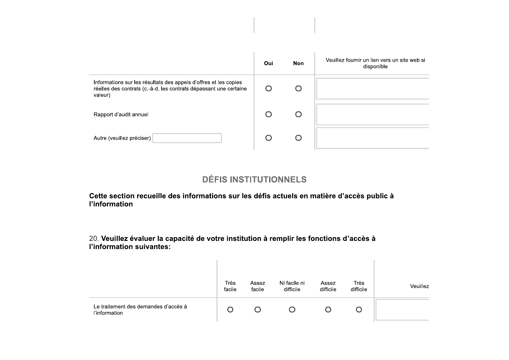|                                                                                                                                                  | Oui | <b>Non</b> | Veuillez fournir un lien vers un site web si<br>disponible |
|--------------------------------------------------------------------------------------------------------------------------------------------------|-----|------------|------------------------------------------------------------|
| Informations sur les résultats des appels d'offres et les copies<br>réelles des contrats (c.-à-d. les contrats dépassant une certaine<br>valeur) |     |            |                                                            |
| Rapport d'audit annuel                                                                                                                           |     |            |                                                            |
| Autre (veuillez préciser)                                                                                                                        |     |            |                                                            |

## **DÉFIS INSTITUTIONNELS**

Cette section recueille des informations sur les défis actuels en matière d'accès public à l'information

20. Veuillez évaluer la capacité de votre institution à remplir les fonctions d'accès à l'information suivantes:

 $\sim 10^{-11}$ 

|                                                       | Très<br>facile | Assez<br>facile | Ni facile ni<br>difficile | Assez<br>difficile | Très<br>difficile | Veuillez |
|-------------------------------------------------------|----------------|-----------------|---------------------------|--------------------|-------------------|----------|
| Le traitement des demandes d'accès à<br>l'information |                |                 |                           |                    |                   |          |

 $\sim$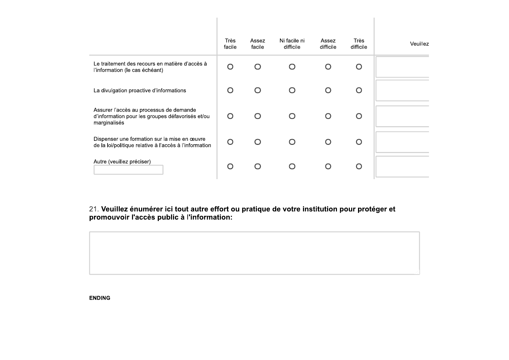|                                                                                                             | Très<br>facile | Assez<br>facile | Ni facile ni<br>difficile | Assez<br>difficile | Très<br>difficile | Veuillez |
|-------------------------------------------------------------------------------------------------------------|----------------|-----------------|---------------------------|--------------------|-------------------|----------|
| Le traitement des recours en matière d'accès à<br>l'information (le cas échéant)                            |                |                 |                           |                    |                   |          |
| La divulgation proactive d'informations                                                                     |                |                 |                           |                    |                   |          |
| Assurer l'accès au processus de demande<br>d'information pour les groupes défavorisés et/ou<br>marginalisés |                |                 | ∩                         | ∩                  |                   |          |
| Dispenser une formation sur la mise en œuvre<br>de la loi/politique relative à l'accès à l'information      |                |                 |                           |                    |                   |          |
| Autre (veuillez préciser)                                                                                   |                |                 |                           |                    |                   |          |

21. Veuillez énumérer ici tout autre effort ou pratique de votre institution pour protéger et<br>promouvoir l'accès public à l'information:



**ENDING**